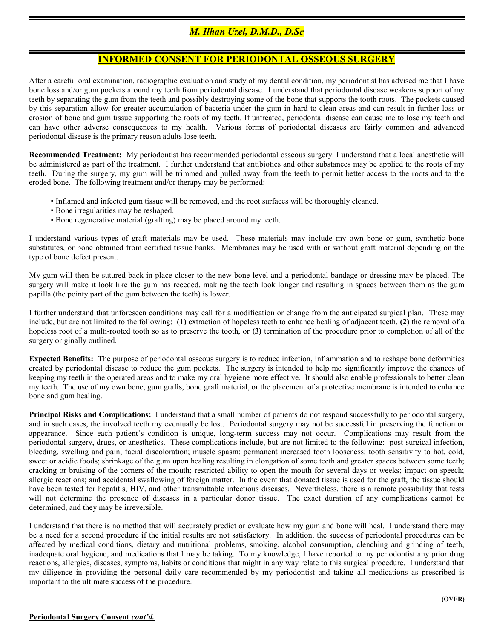## M. Ilhan Uzel, D.M.D., D.Sc

## INFORMED CONSENT FOR PERIODONTAL OSSEOUS SURGERY

After a careful oral examination, radiographic evaluation and study of my dental condition, my periodontist has advised me that I have bone loss and/or gum pockets around my teeth from periodontal disease. I understand that periodontal disease weakens support of my teeth by separating the gum from the teeth and possibly destroying some of the bone that supports the tooth roots. The pockets caused by this separation allow for greater accumulation of bacteria under the gum in hard-to-clean areas and can result in further loss or erosion of bone and gum tissue supporting the roots of my teeth. If untreated, periodontal disease can cause me to lose my teeth and can have other adverse consequences to my health. Various forms of periodontal diseases are fairly common and advanced periodontal disease is the primary reason adults lose teeth.

Recommended Treatment: My periodontist has recommended periodontal osseous surgery. I understand that a local anesthetic will be administered as part of the treatment. I further understand that antibiotics and other substances may be applied to the roots of my teeth. During the surgery, my gum will be trimmed and pulled away from the teeth to permit better access to the roots and to the eroded bone. The following treatment and/or therapy may be performed:

- Inflamed and infected gum tissue will be removed, and the root surfaces will be thoroughly cleaned.
- Bone irregularities may be reshaped.
- Bone regenerative material (grafting) may be placed around my teeth.

I understand various types of graft materials may be used. These materials may include my own bone or gum, synthetic bone substitutes, or bone obtained from certified tissue banks. Membranes may be used with or without graft material depending on the type of bone defect present.

My gum will then be sutured back in place closer to the new bone level and a periodontal bandage or dressing may be placed. The surgery will make it look like the gum has receded, making the teeth look longer and resulting in spaces between them as the gum papilla (the pointy part of the gum between the teeth) is lower.

I further understand that unforeseen conditions may call for a modification or change from the anticipated surgical plan. These may include, but are not limited to the following: (1) extraction of hopeless teeth to enhance healing of adjacent teeth, (2) the removal of a hopeless root of a multi-rooted tooth so as to preserve the tooth, or (3) termination of the procedure prior to completion of all of the surgery originally outlined.

Expected Benefits: The purpose of periodontal osseous surgery is to reduce infection, inflammation and to reshape bone deformities created by periodontal disease to reduce the gum pockets. The surgery is intended to help me significantly improve the chances of keeping my teeth in the operated areas and to make my oral hygiene more effective. It should also enable professionals to better clean my teeth. The use of my own bone, gum grafts, bone graft material, or the placement of a protective membrane is intended to enhance bone and gum healing.

Principal Risks and Complications: I understand that a small number of patients do not respond successfully to periodontal surgery, and in such cases, the involved teeth my eventually be lost. Periodontal surgery may not be successful in preserving the function or appearance. Since each patient's condition is unique, long-term success may not occur. Complications may result from the periodontal surgery, drugs, or anesthetics. These complications include, but are not limited to the following: post-surgical infection, bleeding, swelling and pain; facial discoloration; muscle spasm; permanent increased tooth looseness; tooth sensitivity to hot, cold, sweet or acidic foods; shrinkage of the gum upon healing resulting in elongation of some teeth and greater spaces between some teeth; cracking or bruising of the corners of the mouth; restricted ability to open the mouth for several days or weeks; impact on speech; allergic reactions; and accidental swallowing of foreign matter. In the event that donated tissue is used for the graft, the tissue should have been tested for hepatitis, HIV, and other transmittable infectious diseases. Nevertheless, there is a remote possibility that tests will not determine the presence of diseases in a particular donor tissue. The exact duration of any complications cannot be determined, and they may be irreversible.

I understand that there is no method that will accurately predict or evaluate how my gum and bone will heal. I understand there may be a need for a second procedure if the initial results are not satisfactory. In addition, the success of periodontal procedures can be affected by medical conditions, dietary and nutritional problems, smoking, alcohol consumption, clenching and grinding of teeth, inadequate oral hygiene, and medications that I may be taking. To my knowledge, I have reported to my periodontist any prior drug reactions, allergies, diseases, symptoms, habits or conditions that might in any way relate to this surgical procedure. I understand that my diligence in providing the personal daily care recommended by my periodontist and taking all medications as prescribed is important to the ultimate success of the procedure.